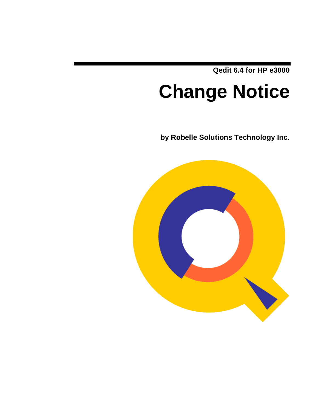**Qedit 6.4 for HP e3000**

# **Change Notice**

**by Robelle Solutions Technology Inc.**

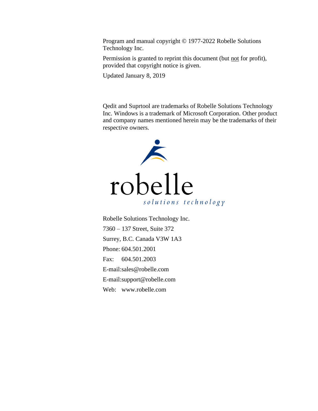Program and manual copyright © 1977-2022 Robelle Solutions Technology Inc.

Permission is granted to reprint this document (but not for profit), provided that copyright notice is given.

Updated January 8, 2019

Qedit and Suprtool are trademarks of Robelle Solutions Technology Inc. Windows is a trademark of Microsoft Corporation. Other product and company names mentioned herein may be the trademarks of their respective owners.



Robelle Solutions Technology Inc. 7360 – 137 Street, Suite 372 Surrey, B.C. Canada V3W 1A3 Phone: 604.501.2001 Fax: 604.501.2003 E-mail:sales@robelle.com E-mail:support@robelle.com Web: www.robelle.com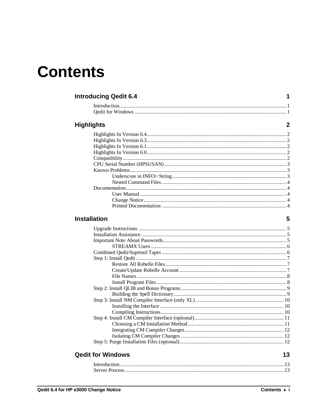## **Contents**

#### **Introducing Qedit 6.4**

#### **Highlights**

#### **Installation**

#### **Qedit for Windows**

| ł<br>۰.<br>×<br>۰. |
|--------------------|

 $\mathbf 1$ 

 $\overline{2}$ 

5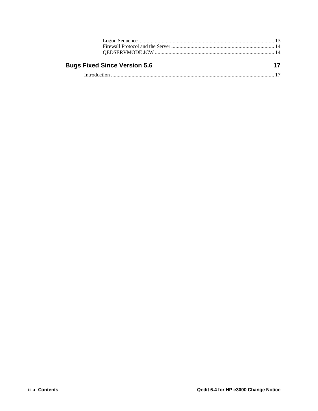$17$ 

## **Bugs Fixed Since Version 5.6**

|--|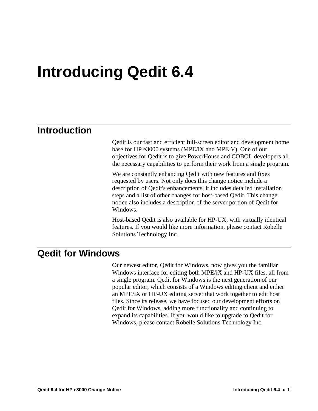# **Introducing Qedit 6.4**

## **Introduction**

Qedit is our fast and efficient full-screen editor and development home base for HP e3000 systems (MPE/iX and MPE V). One of our objectives for Qedit is to give PowerHouse and COBOL developers all the necessary capabilities to perform their work from a single program.

We are constantly enhancing Qedit with new features and fixes requested by users. Not only does this change notice include a description of Qedit's enhancements, it includes detailed installation steps and a list of other changes for host-based Qedit. This change notice also includes a description of the server portion of Qedit for Windows.

Host-based Qedit is also available for HP-UX, with virtually identical features. If you would like more information, please contact Robelle Solutions Technology Inc.

## **Qedit for Windows**

Our newest editor, Qedit for Windows, now gives you the familiar Windows interface for editing both MPE/iX and HP-UX files, all from a single program. Qedit for Windows is the next generation of our popular editor, which consists of a Windows editing client and either an MPE/iX or HP-UX editing server that work together to edit host files. Since its release, we have focused our development efforts on Qedit for Windows, adding more functionality and continuing to expand its capabilities. If you would like to upgrade to Qedit for Windows, please contact Robelle Solutions Technology Inc.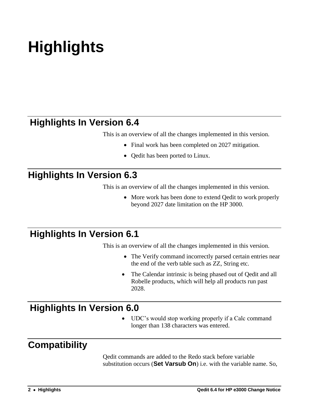# **Highlights**

## **Highlights In Version 6.4**

This is an overview of all the changes implemented in this version.

- Final work has been completed on 2027 mitigation.
- Oedit has been ported to Linux.

## **Highlights In Version 6.3**

This is an overview of all the changes implemented in this version.

• More work has been done to extend Oedit to work properly beyond 2027 date limitation on the HP 3000.

## **Highlights In Version 6.1**

This is an overview of all the changes implemented in this version.

- The Verify command incorrectly parsed certain entries near the end of the verb table such as ZZ, String etc.
- The Calendar intrinsic is being phased out of Qedit and all Robelle products, which will help all products run past 2028.

## **Highlights In Version 6.0**

UDC's would stop working properly if a Calc command longer than 138 characters was entered.

## **Compatibility**

Qedit commands are added to the Redo stack before variable substitution occurs (**Set Varsub On**) i.e. with the variable name. So,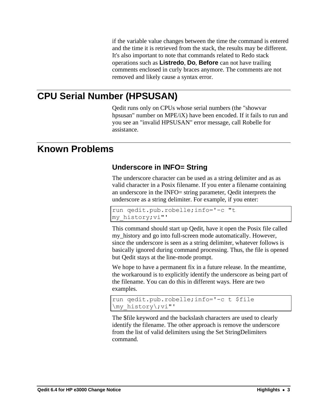if the variable value changes between the time the command is entered and the time it is retrieved from the stack, the results may be different. It's also important to note that commands related to Redo stack operations such as **Listredo**, **Do**, **Before** can not have trailing comments enclosed in curly braces anymore. The comments are not removed and likely cause a syntax error.

## **CPU Serial Number (HPSUSAN)**

Qedit runs only on CPUs whose serial numbers (the "showvar hpsusan" number on MPE/iX) have been encoded. If it fails to run and you see an "invalid HPSUSAN" error message, call Robelle for assistance.

## **Known Problems**

#### **Underscore in INFO= String**

The underscore character can be used as a string delimiter and as as valid character in a Posix filename. If you enter a filename containing an underscore in the INFO= string parameter, Qedit interprets the underscore as a string delimiter. For example, if you enter:

```
run qedit.pub.robelle;info='-c "t 
my_history;vi"'
```
This command should start up Qedit, have it open the Posix file called my\_history and go into full-screen mode automatically. However, since the underscore is seen as a string delimiter, whatever follows is basically ignored during command processing. Thus, the file is opened but Qedit stays at the line-mode prompt.

We hope to have a permanent fix in a future release. In the meantime, the workaround is to explicitly identify the underscore as being part of the filename. You can do this in different ways. Here are two examples.

```
run qedit.pub.robelle;info='-c t $file 
\my_history\;vi"'
```
The \$file keyword and the backslash characters are used to clearly identify the filename. The other approach is remove the underscore from the list of valid delimiters using the Set StringDelimiters command.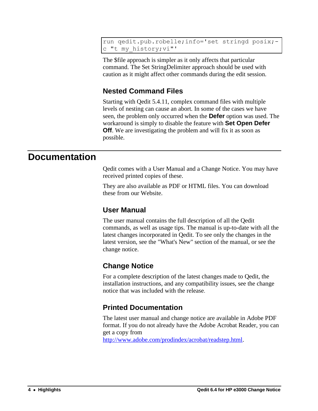run qedit.pub.robelle;info='set stringd posix; c "t my\_history;vi"'

The \$file approach is simpler as it only affects that particular command. The Set StringDelimiter approach should be used with caution as it might affect other commands during the edit session.

#### **Nested Command Files**

Starting with Qedit 5.4.11, complex command files with multiple levels of nesting can cause an abort. In some of the cases we have seen, the problem only occurred when the **Defer** option was used. The workaround is simply to disable the feature with **Set Open Defer Off**. We are investigating the problem and will fix it as soon as possible.

## **Documentation**

Qedit comes with a User Manual and a Change Notice. You may have received printed copies of these.

They are also available as PDF or HTML files. You can download these from our Website.

#### **User Manual**

The user manual contains the full description of all the Qedit commands, as well as usage tips. The manual is up-to-date with all the latest changes incorporated in Qedit. To see only the changes in the latest version, see the "What's New" section of the manual, or see the change notice.

#### **Change Notice**

For a complete description of the latest changes made to Qedit, the installation instructions, and any compatibility issues, see the change notice that was included with the release.

#### **Printed Documentation**

The latest user manual and change notice are available in Adobe PDF format. If you do not already have the Adobe Acrobat Reader, you can get a copy from

[http://www.adobe.com/prodindex/acrobat/readstep.html.](http://www.adobe.com/prodindex/acrobat/readstep.html)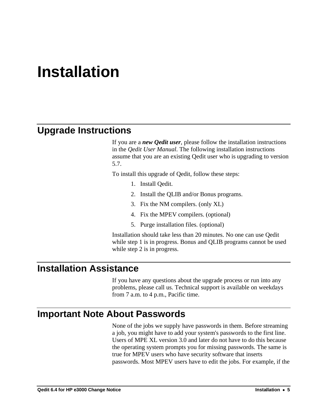# **Installation**

## **Upgrade Instructions**

If you are a *new Qedit user*, please follow the installation instructions in the *Qedit User Manual*. The following installation instructions assume that you are an existing Qedit user who is upgrading to version 5.7.

To install this upgrade of Qedit, follow these steps:

- 1. Install Qedit.
- 2. Install the QLIB and/or Bonus programs.
- 3. Fix the NM compilers. (only XL)
- 4. Fix the MPEV compilers. (optional)
- 5. Purge installation files. (optional)

Installation should take less than 20 minutes. No one can use Qedit while step 1 is in progress. Bonus and QLIB programs cannot be used while step 2 is in progress.

## **Installation Assistance**

If you have any questions about the upgrade process or run into any problems, please call us. Technical support is available on weekdays from 7 a.m. to 4 p.m., Pacific time.

## **Important Note About Passwords**

None of the jobs we supply have passwords in them. Before streaming a job, you might have to add your system's passwords to the first line. Users of MPE XL version 3.0 and later do not have to do this because the operating system prompts you for missing passwords. The same is true for MPEV users who have security software that inserts passwords. Most MPEV users have to edit the jobs. For example, if the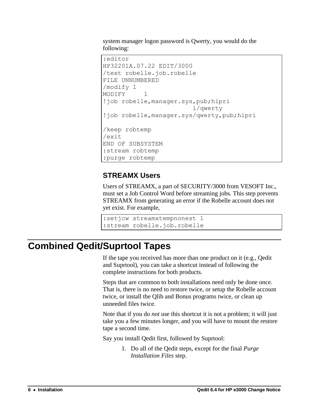system manager logon password is Qwerty, you would do the following:

```
:editor
HP32201A.07.22 EDIT/3000
/text robelle.job.robelle
FILE UNNUMBERED
/modify 1
MODIFY 1
!job robelle,manager.sys,pub;hipri
                         i/qwerty
!job robelle,manager.sys/qwerty,pub;hipri
/keep robtemp
/exit
END OF SUBSYSTEM
:stream robtemp
:purge robtemp
```
#### **STREAMX Users**

Users of STREAMX, a part of SECURITY/3000 from VESOFT Inc., must set a Job Control Word before streaming jobs. This step prevents STREAMX from generating an error if the Robelle account does not yet exist. For example,

```
:setjcw streamxtempnonest 1
:stream robelle.job.robelle
```
## **Combined Qedit/Suprtool Tapes**

If the tape you received has more than one product on it (e.g., Qedit and Suprtool), you can take a shortcut instead of following the complete instructions for both products.

Steps that are common to both installations need only be done once. That is, there is no need to restore twice, or setup the Robelle account twice, or install the Qlib and Bonus programs twice, or clean up unneeded files twice.

Note that if you do *not* use this shortcut it is not a problem; it will just take you a few minutes longer, and you will have to mount the restore tape a second time.

Say you install Qedit first, followed by Suprtool:

1. Do all of the Qedit steps, except for the final *Purge Installation Files* step.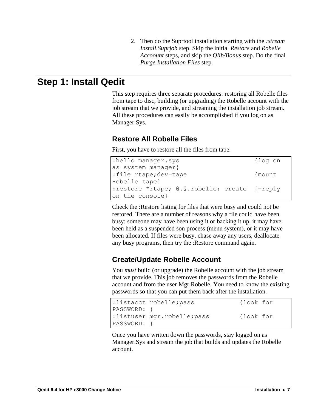2. Then do the Suprtool installation starting with the *:stream Install.Suprjob* step. Skip the initial *Restore* and *Robelle Accoount* steps, and skip the *Qlib/Bonus* step. Do the final *Purge Installation Files* step.

## **Step 1: Install Qedit**

This step requires three separate procedures: restoring all Robelle files from tape to disc, building (or upgrading) the Robelle account with the job stream that we provide, and streaming the installation job stream. All these procedures can easily be accomplished if you log on as Manager.Sys.

#### **Restore All Robelle Files**

First, you have to restore all the files from tape.

| :hello manager.sys                           | {log on |
|----------------------------------------------|---------|
| as system manager}                           |         |
| :file rtape; dev=tape                        | {mount  |
| Robelle tape}                                |         |
| :restore *rtape; @.@.robelle; create {=reply |         |
| on the console}                              |         |

Check the :Restore listing for files that were busy and could not be restored. There are a number of reasons why a file could have been busy: someone may have been using it or backing it up, it may have been held as a suspended son process (menu system), or it may have been allocated. If files were busy, chase away any users, deallocate any busy programs, then try the :Restore command again.

#### **Create/Update Robelle Account**

You *must* build (or upgrade) the Robelle account with the job stream that we provide. This job removes the passwords from the Robelle account and from the user Mgr.Robelle. You need to know the existing passwords so that you can put them back after the installation.

|                | :listacct robelle; pass     | {look for |  |
|----------------|-----------------------------|-----------|--|
| $ PASSWORD:$ } |                             |           |  |
|                | :listuser mgr.robelle; pass | {look for |  |
| PASSWORD: }    |                             |           |  |

Once you have written down the passwords, stay logged on as Manager.Sys and stream the job that builds and updates the Robelle account.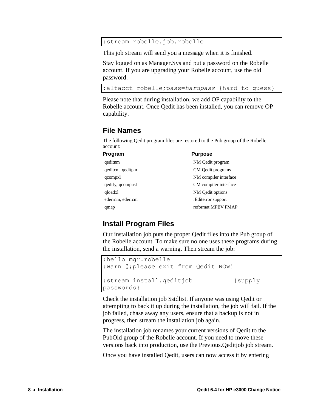:stream robelle.job.robelle

This job stream will send you a message when it is finished.

Stay logged on as Manager.Sys and put a password on the Robelle account. If you are upgrading your Robelle account, use the old password.

```
:altacct robelle;pass=hardpass {hard to guess}
```
Please note that during installation, we add OP capability to the Robelle account. Once Qedit has been installed, you can remove OP capability.

#### **File Names**

The following Qedit program files are restored to the Pub group of the Robelle account:

| Program          | <b>Purpose</b>        |
|------------------|-----------------------|
| qeditnm          | NM Qedit program      |
| qeditcm, qeditpm | CM Qedit programs     |
| qcompxl          | NM compiler interface |
| qedify, qcompusl | CM compiler interface |
| qloadxl          | NM Qedit options      |
| ederrnm, ederrcm | :Editerror support    |
| qmap             | reformat MPEV PMAP    |

#### **Install Program Files**

Our installation job puts the proper Qedit files into the Pub group of the Robelle account. To make sure no one uses these programs during the installation, send a warning. Then stream the job:

```
:hello mgr.robelle
:warn @;please exit from Qedit NOW!
:stream install.qeditjob {supply 
passwords}
```
Check the installation job \$stdlist. If anyone was using Qedit or attempting to back it up during the installation, the job will fail. If the job failed, chase away any users, ensure that a backup is not in progress, then stream the installation job again.

The installation job renames your current versions of Qedit to the PubOld group of the Robelle account. If you need to move these versions back into production, use the Previous.Qeditjob job stream.

Once you have installed Qedit, users can now access it by entering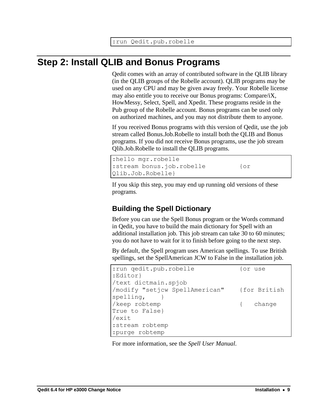## **Step 2: Install QLIB and Bonus Programs**

Qedit comes with an array of contributed software in the QLIB library (in the QLIB groups of the Robelle account). QLIB programs may be used on any CPU and may be given away freely. Your Robelle license may also entitle you to receive our Bonus programs: Compare/iX, HowMessy, Select, Spell, and Xpedit. These programs reside in the Pub group of the Robelle account. Bonus programs can be used only on authorized machines, and you may not distribute them to anyone.

If you received Bonus programs with this version of Qedit, use the job stream called Bonus.Job.Robelle to install both the QLIB and Bonus programs. If you did not receive Bonus programs, use the job stream Qlib.Job.Robelle to install the QLIB programs.

```
:hello mgr.robelle
:stream bonus.job.robelle {or
Qlib.Job.Robelle}
```
If you skip this step, you may end up running old versions of these programs.

## **Building the Spell Dictionary**

Before you can use the Spell Bonus program or the Words command in Qedit, you have to build the main dictionary for Spell with an additional installation job. This job stream can take 30 to 60 minutes; you do not have to wait for it to finish before going to the next step.

By default, the Spell program uses American spellings. To use British spellings, set the SpellAmerican JCW to False in the installation job.

| : run qedit.pub.robelle        | for use      |
|--------------------------------|--------------|
| :Editor}                       |              |
| /text dictmain.spjob           |              |
| /modify "setjcw SpellAmerican" | {for British |
| spelling,                      |              |
| /keep robtemp                  | { change     |
| True to False}                 |              |
| /exit                          |              |
| :stream robtemp                |              |
| :purge robtemp                 |              |

For more information, see the *Spell User Manual*.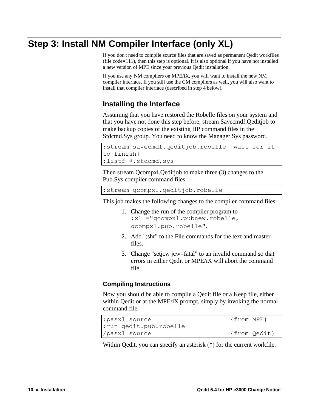## **Step 3: Install NM Compiler Interface (only XL)**

If you don't need to compile source files that are saved as permanent Qedit workfiles (file  $code=111$ ), then this step is optional. It is also optional if you have not installed a new version of MPE since your previous Qedit installation.

If you use any NM compilers on MPE/iX, you will want to install the new NM compiler interface. If you still use the CM compilers as well, you will also want to install that compiler interface (described in step 4 below).

### **Installing the Interface**

Assuming that you have restored the Robelle files on your system and that you have not done this step before, stream Savecmdf.Qeditjob to make backup copies of the existing HP command files in the Stdcmd.Sys group. You need to know the Manager.Sys password.

```
:stream savecmdf.qeditjob.robelle {wait for it 
to finish}
:listf @.stdcmd.sys
```
Then stream Qcompxl.Qeditjob to make three (3) changes to the Pub.Sys compiler command files:

:stream qcompxl.qeditjob.robelle

This job makes the following changes to the compiler command files:

- 1. Change the run of the compiler program to ;xl ="qcompxl.pubnew.robelle, qcompxl.pub.robelle".
- 2. Add ";shr" to the File commands for the text and master files.
- 3. Change "setjcw jcw=fatal" to an invalid command so that errors in either Qedit or MPE/iX will abort the command file.

#### **Compiling Instructions**

Now you should be able to compile a Qedit file or a Keep file, either within Qedit or at the MPE/iX prompt, simply by invoking the normal command file.

```
: pasxl source {from MPE}
:run qedit.pub.robelle
/pasxl source {from Qedit}
```
Within Qedit, you can specify an asterisk (\*) for the current workfile.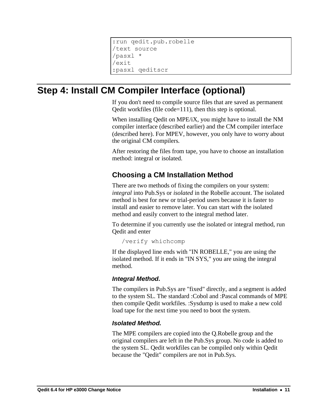```
:run qedit.pub.robelle
/text source
/pasxl *
/exit
:pasxl qeditscr
```
## **Step 4: Install CM Compiler Interface (optional)**

If you don't need to compile source files that are saved as permanent Qedit workfiles (file code=111), then this step is optional.

When installing Qedit on MPE/iX, you might have to install the NM compiler interface (described earlier) and the CM compiler interface (described here). For MPEV, however, you only have to worry about the original CM compilers.

After restoring the files from tape, you have to choose an installation method: integral or isolated.

### **Choosing a CM Installation Method**

There are two methods of fixing the compilers on your system: *integral* into Pub.Sys or *isolated* in the Robelle account. The isolated method is best for new or trial-period users because it is faster to install and easier to remove later. You can start with the isolated method and easily convert to the integral method later.

To determine if you currently use the isolated or integral method, run Qedit and enter

/verify whichcomp

If the displayed line ends with "IN ROBELLE," you are using the isolated method. If it ends in "IN SYS," you are using the integral method.

#### *Integral Method.*

The compilers in Pub.Sys are "fixed" directly, and a segment is added to the system SL. The standard :Cobol and :Pascal commands of MPE then compile Qedit workfiles. :Sysdump is used to make a new cold load tape for the next time you need to boot the system.

#### *Isolated Method.*

The MPE compilers are copied into the Q.Robelle group and the original compilers are left in the Pub.Sys group. No code is added to the system SL. Qedit workfiles can be compiled only within Qedit because the "Qedit" compilers are not in Pub.Sys.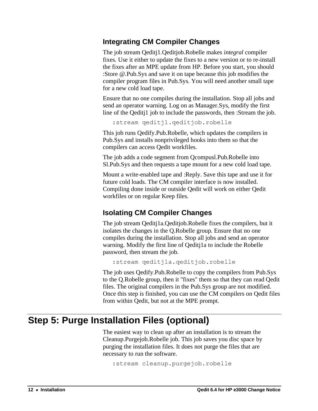### **Integrating CM Compiler Changes**

The job stream Qeditj1.Qeditjob.Robelle makes *integral* compiler fixes. Use it either to update the fixes to a new version or to re-install the fixes after an MPE update from HP. Before you start, you should :Store @.Pub.Sys and save it on tape because this job modifies the compiler program files in Pub.Sys. You will need another small tape for a new cold load tape.

Ensure that no one compiles during the installation. Stop all jobs and send an operator warning. Log on as Manager.Sys, modify the first line of the Qeditj1 job to include the passwords, then :Stream the job.

:stream qeditj1.qeditjob.robelle

This job runs Qedify.Pub.Robelle, which updates the compilers in Pub.Sys and installs nonprivileged hooks into them so that the compilers can access Qedit workfiles.

The job adds a code segment from Qcompusl.Pub.Robelle into Sl.Pub.Sys and then requests a tape mount for a new cold load tape.

Mount a write-enabled tape and :Reply. Save this tape and use it for future cold loads. The CM compiler interface is now installed. Compiling done inside or outside Qedit will work on either Qedit workfiles or on regular Keep files.

## **Isolating CM Compiler Changes**

The job stream Qeditj1a.Qeditjob.Robelle fixes the compilers, but it isolates the changes in the Q.Robelle group. Ensure that no one compiles during the installation. Stop all jobs and send an operator warning. Modify the first line of Qeditj1a to include the Robelle password, then stream the job.

```
:stream qeditj1a.qeditjob.robelle
```
The job uses Qedify.Pub.Robelle to copy the compilers from Pub.Sys to the Q.Robelle group, then it "fixes" them so that they can read Qedit files. The original compilers in the Pub.Sys group are not modified. Once this step is finished, you can use the CM compilers on Qedit files from within Qedit, but not at the MPE prompt.

## **Step 5: Purge Installation Files (optional)**

The easiest way to clean up after an installation is to stream the Cleanup.Purgejob.Robelle job. This job saves you disc space by purging the installation files. It does not purge the files that are necessary to run the software.

```
:stream cleanup.purgejob.robelle
```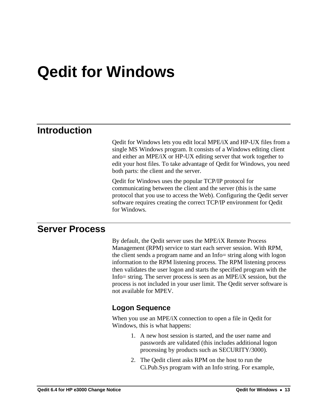# **Qedit for Windows**

## **Introduction**

Qedit for Windows lets you edit local MPE/iX and HP-UX files from a single MS Windows program. It consists of a Windows editing client and either an MPE/iX or HP-UX editing server that work together to edit your host files. To take advantage of Qedit for Windows, you need both parts: the client and the server.

Qedit for Windows uses the popular TCP/IP protocol for communicating between the client and the server (this is the same protocol that you use to access the Web). Configuring the Qedit server software requires creating the correct TCP/IP environment for Qedit for Windows.

## **Server Process**

By default, the Qedit server uses the MPE/iX Remote Process Management (RPM) service to start each server session. With RPM, the client sends a program name and an Info= string along with logon information to the RPM listening process. The RPM listening process then validates the user logon and starts the specified program with the Info= string. The server process is seen as an MPE/iX session, but the process is not included in your user limit. The Qedit server software is not available for MPEV.

#### **Logon Sequence**

When you use an MPE/iX connection to open a file in Qedit for Windows, this is what happens:

- 1. A new host session is started, and the user name and passwords are validated (this includes additional logon processing by products such as SECURITY/3000).
- 2. The Qedit client asks RPM on the host to run the Ci.Pub.Sys program with an Info string. For example,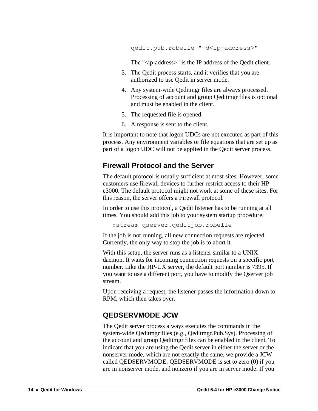qedit.pub.robelle "-d<ip-address>"

The "<ip-address>" is the IP address of the Qedit client.

- 3. The Qedit process starts, and it verifies that you are authorized to use Qedit in server mode.
- 4. Any system-wide Qeditmgr files are always processed. Processing of account and group Qeditmgr files is optional and must be enabled in the client.
- 5. The requested file is opened.
- 6. A response is sent to the client.

It is important to note that logon UDCs are not executed as part of this process. Any environment variables or file equations that are set up as part of a logon UDC will not be applied in the Qedit server process.

#### **Firewall Protocol and the Server**

The default protocol is usually sufficient at most sites. However, some customers use firewall devices to further restrict access to their HP e3000. The default protocol might not work at some of these sites. For this reason, the server offers a Firewall protocol.

In order to use this protocol, a Qedit listener has to be running at all times. You should add this job to your system startup procedure:

:stream qserver.qeditjob.robelle

If the job is not running, all new connection requests are rejected. Currently, the only way to stop the job is to abort it.

With this setup, the server runs as a listener similar to a UNIX daemon. It waits for incoming connection requests on a specific port number. Like the HP-UX server, the default port number is 7395. If you want to use a different port, you have to modify the Qserver job stream.

Upon receiving a request, the listener passes the information down to RPM, which then takes over.

#### **QEDSERVMODE JCW**

The Qedit server process always executes the commands in the system-wide Qeditmgr files (e.g., Qeditmgr.Pub.Sys). Processing of the account and group Qeditmgr files can be enabled in the client. To indicate that you are using the Qedit server in either the server or the nonserver mode, which are not exactly the same, we provide a JCW called QEDSERVMODE. QEDSERVMODE is set to zero (0) if you are in nonserver mode, and nonzero if you are in server mode. If you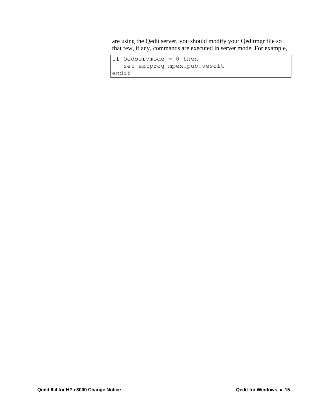are using the Qedit server, you should modify your Qeditmgr file so that few, if any, commands are executed in server mode. For example,

```
if Qedservmode = 0 then
    set extprog mpex.pub.vesoft
endif
```